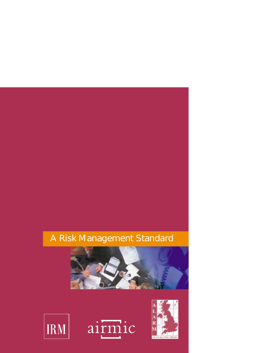# A Risk Management Standard







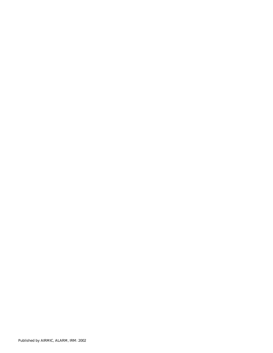Published by AIRMIC, ALARM, IRM: 2002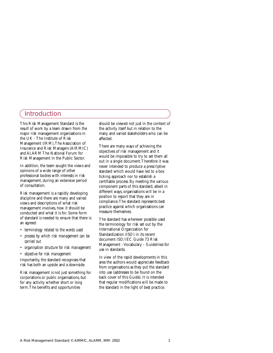# Introduction

This Risk Management Standard is the result of work by a team drawn from the major risk management organisations in the UK - The Institute of Risk Management (IRM),The Association of Insurance and Risk Managers (AIRMIC) and ALARM The National Forum for Risk Management in the Public Sector.

In addition, the team sought the views and opinions of a wide range of other professional bodies with interests in risk management, during an extensive period of consultation.

Risk management is a rapidly developing discipline and there are many and varied views and descriptions of what risk management involves, how it should be conducted and what it is for. Some form of standard is needed to ensure that there is an agreed:

- *terminology related to the words used*
- *process by which risk management can be carried out*
- *organisation structure for risk management*
- *objective for risk management*

Importantly, the standard recognises that risk has both an upside and a downside.

Risk management is not just something for corporations or public organisations, but for any activity whether short or long term.The benefits and opportunities

should be viewed not just in the context of the activity itself but in relation to the many and varied stakeholders who can be affected.

There are many ways of achieving the objectives of risk management and it would be impossible to try to set them all out in a single document.Therefore it was never intended to produce a prescriptive standard which would have led to a box ticking approach nor to establish a certifiable process. By meeting the various component parts of this standard, albeit in different ways, organisations will be in a position to report that they are in compliance.The standard represents best practice against which organisations can measure themselves.

The standard has wherever possible used the terminology for risk set out by the International Organization for Standardization (ISO) in its recent document ISO/IEC Guide 73 Risk Management - Vocabulary - Guidelines for use in standards.

In view of the rapid developments in this area the authors would appreciate feedback from organisations as they put the standard into use (addresses to be found on the back cover of this Guide). It is intended that regular modifications will be made to the standard in the light of best practice.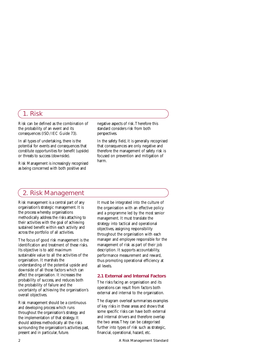# 1. Risk

Risk can be defined as the combination of the probability of an event and its consequences (ISO/IEC Guide 73).

In all types of undertaking, there is the potential for events and consequences that constitute opportunities for benefit (upside) or threats to success (downside).

Risk Management is increasingly recognised as being concerned with both positive and

negative aspects of risk.Therefore this standard considers risk from both perspectives.

In the safety field, it is generally recognised that consequences are only negative and therefore the management of safety risk is focused on prevention and mitigation of harm.

# 2. Risk Management

Risk management is a central part of any organisation's strategic management. It is the process whereby organisations methodically address the risks attaching to their activities with the goal of achieving sustained benefit within each activity and across the portfolio of all activities.

The focus of good risk management is the identification and treatment of these risks. Its objective is to add maximum sustainable value to all the activities of the organisation. It marshals the understanding of the potential upside and downside of all those factors which can affect the organisation. It increases the probability of success, and reduces both the probability of failure and the uncertainty of achieving the organisation's overall objectives.

Risk management should be a continuous and developing process which runs throughout the organisation's strategy and the implementation of that strategy. It should address methodically all the risks surrounding the organisation's activities past, present and in particular, future.

It must be integrated into the culture of the organisation with an effective policy and a programme led by the most senior management. It must translate the strategy into tactical and operational objectives, assigning responsibility throughout the organisation with each manager and employee responsible for the management of risk as part of their job description. It supports accountability, performance measurement and reward, thus promoting operational efficiency at all levels.

### **2.1 External and Internal Factors**

The risks facing an organisation and its operations can result from factors both external and internal to the organisation.

The diagram overleaf summarises examples of key risks in these areas and shows that some specific risks can have both external and internal drivers and therefore overlap the two areas.They can be categorised further into types of risk such as strategic, financial, operational, hazard, etc.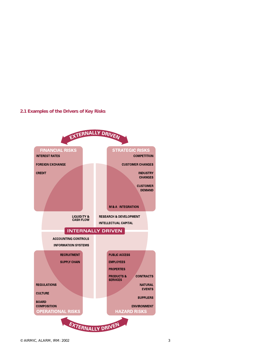#### **2.1 Examples of the Drivers of Key Risks**

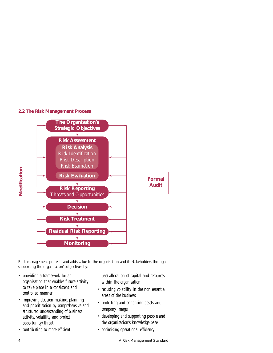#### **2.2 The Risk Management Process**



Risk management protects and adds value to the organisation and its stakeholders through

- *providing a framework for an organisation that enables future activity to take place in a consistent and controlled manner*
- *improving decision making, planning and prioritisation by comprehensive and structured understanding of business activity, volatility and project opportunity/threat*
- *contributing to more efficient*

*use/allocation of capital and resources within the organisation*

- *reducing volatility in the non essential areas of the business*
- *protecting and enhancing assets and company image*
- *developing and supporting people and the organisation's knowledge base*
- *optimising operational efficiency*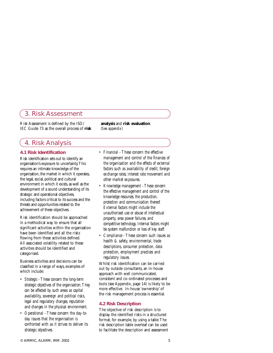# 3. Risk Assessment

Risk Assessment is defined by the ISO/ IEC Guide 73 as the overall process of **risk** **analysis** and **risk evaluation**. *(See appendix)*

# 4. Risk Analysis

#### **4.1 Risk Identification**

Risk identification sets out to identify an organisation's exposure to uncertainty.This requires an intimate knowledge of the organisation, the market in which it operates, the legal, social, political and cultural environment in which it exists, as well as the development of a sound understanding of its strategic and operational objectives, including factors critical to its success and the threats and opportunities related to the achievement of these objectives.

Risk identification should be approached in a methodical way to ensure that all significant activities within the organisation have been identified and all the risks flowing from these activities defined. All associated volatility related to these activities should be identified and categorised.

Business activities and decisions can be classified in a range of ways, examples of which include:

- *Strategic These concern the long-term strategic objectives of the organisation.They can be affected by such areas as capital availability, sovereign and political risks, legal and regulatory changes, reputation and changes in the physical environment.*
- *Operational These concern the day-today issues that the organisation is confronted with as it strives to deliver its strategic objectives.*
- *Financial These concern the effective management and control of the finances of the organisation and the effects of external factors such as availability of credit, foreign exchange rates, interest rate movement and other market exposures.*
- *Knowledge management These concern the effective management and control of the knowledge resources, the production, protection and communication thereof. External factors might include the unauthorised use or abuse of intellectual property, area power failures, and competitive technology. Internal factors might be system malfunction or loss of key staff.*
- *Compliance These concern such issues as health & safety, environmental, trade descriptions, consumer protection, data protection, employment practices and regulatory issues.*

Whilst risk identification can be carried out by outside consultants, an in-house approach with well communicated, consistent and co-ordinated processes and tools (see Appendix, page 14) is likely to be more effective. In-house 'ownership' of the risk management process is essential.

#### **4.2 Risk Description**

The objective of risk description is to display the identified risks in a structured format, for example, by using a table.The risk description table overleaf can be used to facilitate the description and assessment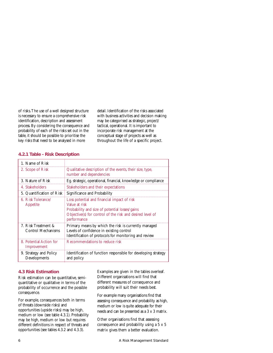of risks.The use of a well designed structure is necessary to ensure a comprehensive risk identification, description and assessment process. By considering the consequence and probability of each of the risks set out in the table, it should be possible to prioritise the key risks that need to be analysed in more

detail. Identification of the risks associated with business activities and decision making may be categorised as strategic, project/ tactical, operational. It is important to incorporate risk management at the conceptual stage of projects as well as throughout the life of a specific project.

| 1. Name of Risk                           |                                                                                                                                                                                            |
|-------------------------------------------|--------------------------------------------------------------------------------------------------------------------------------------------------------------------------------------------|
| 2. Scope of Risk                          | Qualitative description of the events, their size, type,<br>number and dependencies                                                                                                        |
| 3. Nature of Risk                         | Eg. strategic, operational, financial, knowledge or compliance                                                                                                                             |
| 4. Stakeholders                           | Stakeholders and their expectations                                                                                                                                                        |
| 5. Quantification of Risk                 | Significance and Probability                                                                                                                                                               |
| 6. Risk Tolerance/<br>Appetite            | Loss potential and financial impact of risk<br>Value at risk<br>Probability and size of potential losses/gains<br>Objective(s) for control of the risk and desired level of<br>performance |
| 7. Risk Treatment &<br>Control Mechanisms | Primary means by which the risk is currently managed<br>Levels of confidence in existing control<br>Identification of protocols for monitoring and review                                  |
| 8. Potential Action for<br>Improvement    | Recommendations to reduce risk                                                                                                                                                             |
| 9. Strategy and Policy<br>Developments    | Identification of function responsible for developing strategy<br>and policy                                                                                                               |

#### **4.2.1 Table - Risk Description**

#### **4.3 Risk Estimation**

Risk estimation can be quantitative, semiquantitative or qualitative in terms of the probability of occurrence and the possible consequence.

For example, consequences both in terms of threats (downside risks) and opportunities (upside risks) may be high, medium or low (see table 4.3.1). Probability may be high, medium or low but requires different definitions in respect of threats and opportunities (see tables 4.3.2 and 4.3.3).

Examples are given in the tables overleaf. Different organisations will find that different measures of consequence and probability will suit their needs best.

For example many organisations find that assessing consequence and probability as high, medium or low is quite adequate for their needs and can be presented as a 3 x 3 matrix.

Other organisations find that assessing consequence and probability using a 5 x 5 matrix gives them a better evaluation.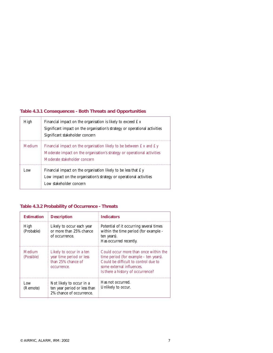### **Table 4.3.1 Consequences - Both Threats and Opportunities**

| ligh          | Financial impact on the organisation is likely to exceed $\pounds x$<br>Significant impact on the organisation's strategy or operational activities<br>Significant stakeholder concern |
|---------------|----------------------------------------------------------------------------------------------------------------------------------------------------------------------------------------|
| <b>Medium</b> | Financial impact on the organisation likely to be between $Ex$ and $Ey$<br>Moderate impact on the organisation's strategy or operational activities<br>Moderate stakeholder concern    |
| Low           | Financial impact on the organisation likely to be less that $fy$<br>Low impact on the organisation's strategy or operational activities<br>Low stakeholder concern                     |

### **Table 4.3.2 Probability of Occurrence - Threats**

| <b>Estimation</b>    | <b>Description</b>                                                                        | <b>Indicators</b>                                                                                                                                                                         |
|----------------------|-------------------------------------------------------------------------------------------|-------------------------------------------------------------------------------------------------------------------------------------------------------------------------------------------|
| High<br>(Probable)   | Likely to occur each year<br>or more than 25% chance<br>of occurrence.                    | Potential of it occurring several times<br>within the time period (for example -<br>ten years).<br>Has occurred recently.                                                                 |
| Medium<br>(Possible) | Likely to occur in a ten<br>year time period or less<br>than 25% chance of<br>occurrence. | Could occur more than once within the<br>time period (for example - ten years).<br>Could be difficult to control due to<br>some external influences.<br>Is there a history of occurrence? |
| Low.<br>(Remote)     | Not likely to occur in a<br>ten year period or less than<br>2% chance of occurrence.      | Has not occurred.<br>Unlikely to occur.                                                                                                                                                   |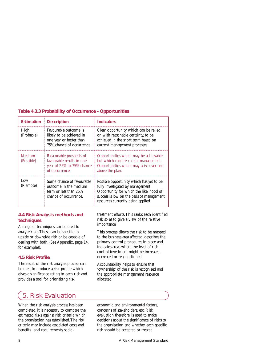| <b>Estimation</b>    | <b>Description</b>                                                                                               | <b>Indicators</b>                                                                                                                                                                                           |
|----------------------|------------------------------------------------------------------------------------------------------------------|-------------------------------------------------------------------------------------------------------------------------------------------------------------------------------------------------------------|
| High<br>(Probable)   | <b>Favourable outcome is</b><br>likely to be achieved in<br>one year or better than<br>75% chance of occurrence. | Clear opportunity which can be relied<br>on with reasonable certainty, to be<br>achieved in the short term based on<br>current management processes.                                                        |
| Medium<br>(Possible) | Reasonable prospects of<br>favourable results in one<br>year of 25% to 75% chance<br>of occurrence.              | Opportunities which may be achievable<br>but which require careful management.<br>Opportunities which may arise over and<br>above the plan.                                                                 |
| Low.<br>(Remote)     | Some chance of favourable<br>outcome in the medium<br>term or less than 25%<br>chance of occurrence.             | Possible opportunity which has yet to be<br>fully investigated by management.<br>Opportunity for which the likelihood of<br>success is low on the basis of management<br>resources currently being applied. |

#### **Table 4.3.3 Probability of Occurrence - Opportunities**

#### **4.4 Risk Analysis methods and techniques**

A range of techniques can be used to analyse risks.These can be specific to upside or downside risk or be capable of dealing with both. (See Appendix, page 14, for examples).

#### **4.5 Risk Profile**

The result of the risk analysis process can be used to produce a risk profile which gives a significance rating to each risk and provides a tool for prioritising risk

treatment efforts.This ranks each identified risk so as to give a view of the relative importance.

This process allows the risk to be mapped to the business area affected, describes the primary control procedures in place and indicates areas where the level of risk control investment might be increased, decreased or reapportioned.

Accountability helps to ensure that 'ownership' of the risk is recognised and the appropriate management resource allocated.

# 5. Risk Evaluation

When the risk analysis process has been completed, it is necessary to compare the estimated risks against risk criteria which the organisation has established.The risk criteria may include associated costs and benefits, legal requirements, socioeconomic and environmental factors, concerns of stakeholders, etc. Risk evaluation therefore, is used to make decisions about the significance of risks to the organisation and whether each specific risk should be accepted or treated.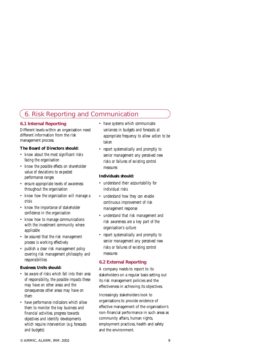# 6. Risk Reporting and Communication

### **6.1 Internal Reporting**

Different levels within an organisation need different information from the risk management process.

#### **The Board of Directors should:**

- *know about the most significant risks facing the organisation*
- *know the possible effects on shareholder value of deviations to expected performance ranges*
- *ensure appropriate levels of awareness throughout the organisation*
- *know how the organisation will manage a crisis*
- *know the importance of stakeholder confidence in the organisation*
- *know how to manage communications with the investment community where applicable*
- *be assured that the risk management process is working effectively*
- *publish a clear risk management policy covering risk management philosophy and responsibilities*

#### **Business Units should:**

- *be aware of risks which fall into their area of responsibility, the possible impacts these may have on other areas and the consequences other areas may have on them*
- *have performance indicators which allow them to monitor the key business and financial activities, progress towards objectives and identify developments which require intervention (e.g. forecasts and budgets)*
- *have systems which communicate variances in budgets and forecasts at appropriate frequency to allow action to be taken*
- *report systematically and promptly to senior management any perceived new risks or failures of existing control measures*

#### **Individuals should:**

- *understand their accountability for individual risks*
- *understand how they can enable continuous improvement of risk management response*
- *understand that risk management and risk awareness are a key part of the organisation's culture*
- *report systematically and promptly to senior management any perceived new risks or failures of existing control measures*

### **6.2 External Reporting**

A company needs to report to its stakeholders on a regular basis setting out its risk management policies and the effectiveness in achieving its objectives.

Increasingly stakeholders look to organisations to provide evidence of effective management of the organisation's non-financial performance in such areas as community affairs, human rights, employment practices, health and safety and the environment.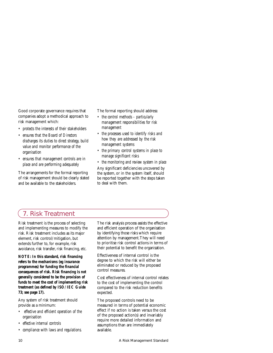Good corporate governance requires that companies adopt a methodical approach to risk management which:

- *protects the interests of their stakeholders*
- *ensures that the Board of Directors discharges its duties to direct strategy, build value and monitor performance of the organisation*
- *ensures that management controls are in place and are performing adequately*

The arrangements for the formal reporting of risk management should be clearly stated and be available to the stakeholders.

The formal reporting should address:

- *the control methods particularly management responsibilities for risk management*
- *the processes used to identify risks and how they are addressed by the risk management systems*
- *the primary control systems in place to manage significant risks*
- *the monitoring and review system in place*

Any significant deficiencies uncovered by the system, or in the system itself, should be reported together with the steps taken to deal with them.

# 7. Risk Treatment

Risk treatment is the process of selecting and implementing measures to modify the risk. Risk treatment includes as its major element, risk control/mitigation, but extends further to, for example, risk avoidance, risk transfer, risk financing, etc.

*NOTE: In this standard, risk financing refers to the mechanisms (eg insurance programmes) for funding the financial consequences of risk. Risk financing is not generally considered to be the provision of funds to meet the cost of implementing risk treatment (as defined by ISO/IEC Guide 73; see page 17).*

Any system of risk treatment should provide as a minimum:

- *effective and efficient operation of the organisation*
- *effective internal controls*
- *compliance with laws and regulations.*

The risk analysis process assists the effective and efficient operation of the organisation by identifying those risks which require attention by management.They will need to prioritise risk control actions in terms of their potential to benefit the organisation.

Effectiveness of internal control is the degree to which the risk will either be eliminated or reduced by the proposed control measures.

Cost effectiveness of internal control relates to the cost of implementing the control compared to the risk reduction benefits expected.

The proposed controls need to be measured in terms of potential economic effect if no action is taken versus the cost of the proposed action(s) and invariably require more detailed information and assumptions than are immediately available.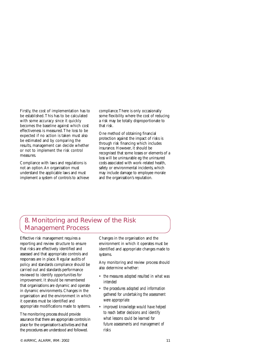Firstly, the cost of implementation has to be established.This has to be calculated with some accuracy since it quickly becomes the baseline against which cost effectiveness is measured.The loss to be expected if no action is taken must also be estimated and by comparing the results, management can decide whether or not to implement the risk control measures.

Compliance with laws and regulations is not an option.An organisation must understand the applicable laws and must implement a system of controls to achieve compliance.There is only occasionally some flexibility where the cost of reducing a risk may be totally disproportionate to that risk.

One method of obtaining financial protection against the impact of risks is through risk financing which includes insurance. However, it should be recognised that some losses or elements of a loss will be uninsurable eg the uninsured costs associated with work-related health, safety or environmental incidents, which may include damage to employee morale and the organisation's reputation.

# 8. Monitoring and Review of the Risk Management Process

Effective risk management requires a reporting and review structure to ensure that risks are effectively identified and assessed and that appropriate controls and responses are in place. Regular audits of policy and standards compliance should be carried out and standards performance reviewed to identify opportunities for improvement. It should be remembered that organisations are dynamic and operate in dynamic environments. Changes in the organisation and the environment in which it operates must be identified and appropriate modifications made to systems.

The monitoring process should provide assurance that there are appropriate controls in place for the organisation's activities and that the procedures are understood and followed.

Changes in the organisation and the environment in which it operates must be identified and appropriate changes made to systems.

Any monitoring and review process should also determine whether:

- *the measures adopted resulted in what was intended*
- *the procedures adopted and information gathered for undertaking the assessment were appropriate*
- *improved knowledge would have helped to reach better decisions and identify what lessons could be learned for future assessments and management of risks*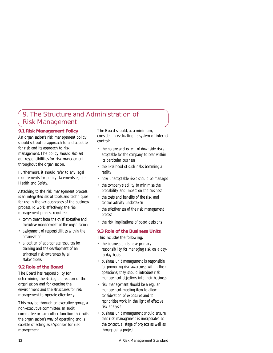# 9. The Structure and Administration of Risk Management

### **9.1 Risk Management Policy**

An organisation's risk management policy should set out its approach to and appetite for risk and its approach to risk management.The policy should also set out responsibilities for risk management throughout the organisation.

Furthermore, it should refer to any legal requirements for policy statements eg. for Health and Safety.

Attaching to the risk management process is an integrated set of tools and techniques for use in the various stages of the business process.To work effectively, the risk management process requires:

- *commitment from the chief executive and executive management of the organisation*
- *assignment of responsibilities within the organisation*
- *allocation of appropriate resources for training and the development of an enhanced risk awareness by all stakeholders.*

### **9.2 Role of the Board**

The Board has responsibility for determining the strategic direction of the organisation and for creating the environment and the structures for risk management to operate effectively.

This may be through an executive group, a non-executive committee, an audit committee or such other function that suits the organisation's way of operating and is capable of acting as a 'sponsor' for risk management.

The Board should, as a minimum, consider, in evaluating its system of internal control:

- *the nature and extent of downside risks acceptable for the company to bear within its particular business*
- *the likelihood of such risks becoming a reality*
- *how unacceptable risks should be managed*
- *the company's ability to minimise the probability and impact on the business*
- *the costs and benefits of the risk and control activity undertaken*
- *the effectiveness of the risk management process*
- *the risk implications of board decisions*

### **9.3 Role of the Business Units**

This includes the following:

- *the business units have primary responsibility for managing risk on a dayto-day basis*
- *business unit management is responsible for promoting risk awareness within their operations; they should introduce risk management objectives into their business*
- *risk management should be a regular management-meeting item to allow consideration of exposures and to reprioritise work in the light of effective risk analysis*
- *business unit management should ensure that risk management is incorporated at the conceptual stage of projects as well as throughout a project*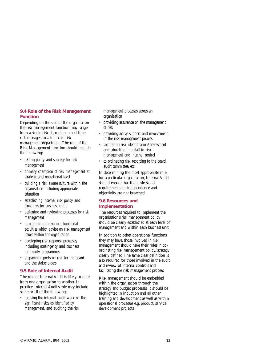#### **9.4 Role of the Risk Management Function**

Depending on the size of the organisation the risk management function may range from a single risk champion, a part time risk manager, to a full scale risk management department.The role of the Risk Management function should include the following:

- *setting policy and strategy for risk management*
- *primary champion of risk management at strategic and operational level*
- *building a risk aware culture within the organisation including appropriate education*
- *establishing internal risk policy and structures for business units*
- *designing and reviewing processes for risk management*
- *co-ordinating the various functional activities which advise on risk management issues within the organisation*
- *developing risk response processes, including contingency and business continuity programmes*
- *preparing reports on risk for the board and the stakeholders*

#### **9.5 Role of Internal Audit**

The role of Internal Audit is likely to differ from one organisation to another. In practice, Internal Audit's role may include some or all of the following:

*• focusing the internal audit work on the significant risks, as identified by management, and auditing the risk*

*management processes across an organisation*

- *providing assurance on the management of risk*
- *providing active support and involvement in the risk management process*
- *facilitating risk identification/assessment and educating line staff in risk management and internal control*
- *co-ordinating risk reporting to the board, audit committee, etc*

In determining the most appropriate role for a particular organisation, Internal Audit should ensure that the professional requirements for independence and objectivity are not breached.

#### **9.6 Resources and Implementation**

The resources required to implement the organisation's risk management policy should be clearly established at each level of management and within each business unit.

In addition to other operational functions they may have, those involved in risk management should have their roles in coordinating risk management policy/strategy clearly defined.The same clear definition is also required for those involved in the audit and review of internal controls and facilitating the risk management process.

Risk management should be embedded within the organisation through the strategy and budget processes. It should be highlighted in induction and all other training and development as well as within operational processes e.g. product/service development projects.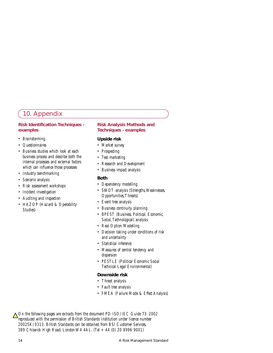# 10. Appendix

#### **Risk Identification Techniques examples**

- *Brainstorming*
- *Questionnaires*
- *Business studies which look at each business process and describe both the internal processes and external factors which can influence those processes*
- *Industry benchmarking*
- *Scenario analysis*
- *Risk assessment workshops*
- *Incident investigation*
- *Auditing and inspection*
- *HAZOP (Hazard & Operability Studies)*

#### **Risk Analysis Methods and Techniques - examples**

### **Upside risk**

- *Market survey*
- *Prospecting*
- *Test marketing*
- *Research and Development*
- *Business impact analysis*

#### **Both**

- *Dependency modelling*
- *SWOT analysis (Strengths,Weaknesses, Opportunities,Threats)*
- *Event tree analysis*
- *Business continuity planning*
- *BPEST (Business, Political, Economic, Social,Technological) analysis*
- *Real Option Modelling*
- *Decision taking under conditions of risk and uncertainty*
- *Statistical inference*
- *Measures of central tendency and dispersion*
- *PESTLE (Political Economic Social Technical Legal Environmental)*

#### **Downside risk**

- *Threat analysis*
- *Fault tree analysis*
- *FMEA (Failure Mode & Effect Analysis)*

*On the following pages are extracts from the document PD ISO/IEC Guide 73: 2002 reproduced with the permission of British Standards Institution under licence number 2002SK/0313. British Standards can be obtained from BSI Customer Services, 389 Chiswick High Road, London W4 4AL. (Tel + 44 (0) 20 8996 9001)*